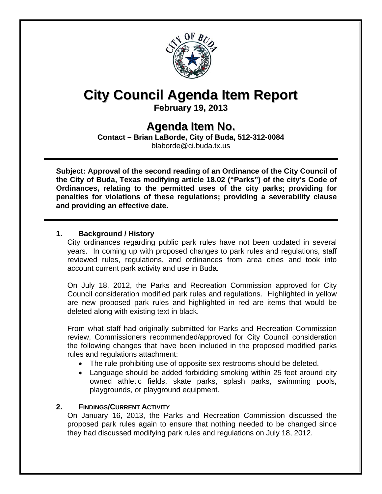

# **City Council Agenda Item Report**

**February 19, 2013**

# **Agenda Item No.**

**Contact – Brian LaBorde, City of Buda, 512-312-0084** blaborde@ci.buda.tx.us

**Subject: Approval of the second reading of an Ordinance of the City Council of the City of Buda, Texas modifying article 18.02 ("Parks") of the city's Code of Ordinances, relating to the permitted uses of the city parks; providing for penalties for violations of these regulations; providing a severability clause and providing an effective date.** 

## **1. Background / History**

 City ordinances regarding public park rules have not been updated in several years. In coming up with proposed changes to park rules and regulations, staff reviewed rules, regulations, and ordinances from area cities and took into account current park activity and use in Buda.

 On July 18, 2012, the Parks and Recreation Commission approved for City Council consideration modified park rules and regulations. Highlighted in yellow are new proposed park rules and highlighted in red are items that would be deleted along with existing text in black.

 From what staff had originally submitted for Parks and Recreation Commission review, Commissioners recommended/approved for City Council consideration the following changes that have been included in the proposed modified parks rules and regulations attachment:

- The rule prohibiting use of opposite sex restrooms should be deleted.
- Language should be added forbidding smoking within 25 feet around city owned athletic fields, skate parks, splash parks, swimming pools, playgrounds, or playground equipment.

## **2. FINDINGS/CURRENT ACTIVITY**

 On January 16, 2013, the Parks and Recreation Commission discussed the proposed park rules again to ensure that nothing needed to be changed since they had discussed modifying park rules and regulations on July 18, 2012.